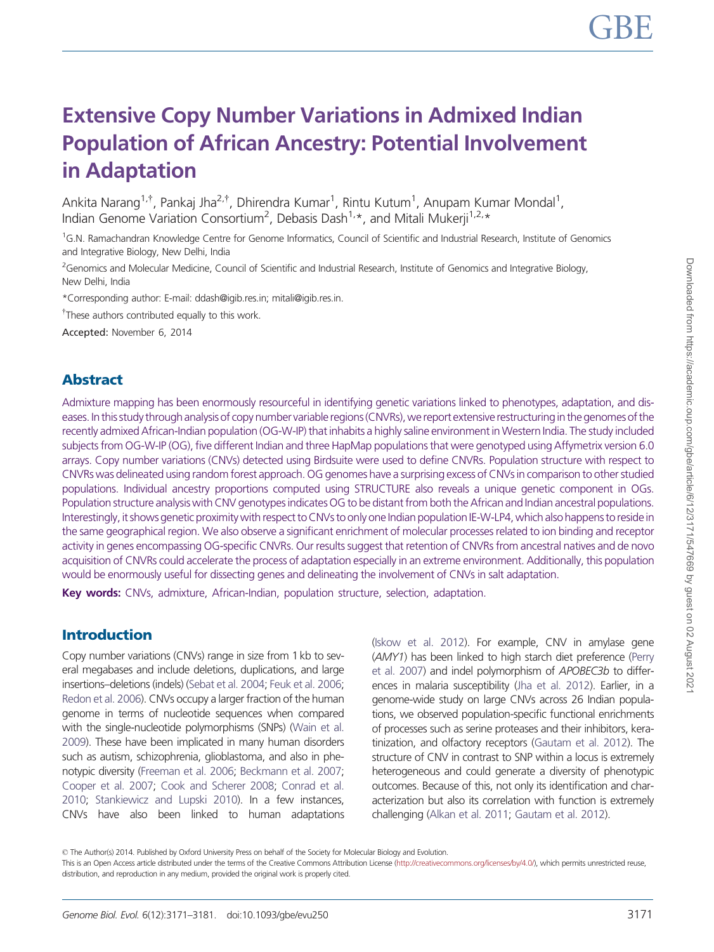# Extensive Copy Number Variations in Admixed Indian Population of African Ancestry: Potential Involvement in Adaptation

Ankita Narang<sup>1,†</sup>, Pankaj Jha<sup>2,†</sup>, Dhirendra Kumar<sup>1</sup>, Rintu Kutum<sup>1</sup>, Anupam Kumar Mondal<sup>1</sup>, Indian Genome Variation Consortium<sup>2</sup>, Debasis Dash<sup>1,\*</sup>, and Mitali Mukerji<sup>1,2,\*</sup>

<sup>1</sup>G.N. Ramachandran Knowledge Centre for Genome Informatics, Council of Scientific and Industrial Research, Institute of Genomics and Integrative Biology, New Delhi, India

<sup>2</sup>Genomics and Molecular Medicine, Council of Scientific and Industrial Research, Institute of Genomics and Integrative Biology, New Delhi, India

\*Corresponding author: E-mail: ddash@igib.res.in; mitali@igib.res.in.

<sup>†</sup>These authors contributed equally to this work.

Accepted: November 6, 2014

## Abstract

Admixture mapping has been enormously resourceful in identifying genetic variations linked to phenotypes, adaptation, and diseases. In this study through analysis of copy number variable regions (CNVRs), we report extensive restructuring in the genomes of the recently admixed African-Indian population (OG-W-IP) that inhabits a highly saline environment in Western India. The study included subjects from OG-W-IP (OG), five different Indian and three HapMap populations that were genotyped using Affymetrix version 6.0 arrays. Copy number variations (CNVs) detected using Birdsuite were used to define CNVRs. Population structure with respect to CNVRs was delineated using random forest approach. OG genomes have a surprising excess of CNVs in comparison to other studied populations. Individual ancestry proportions computed using STRUCTURE also reveals a unique genetic component in OGs. Population structure analysis with CNV genotypes indicates OG to be distant from both the African and Indian ancestral populations. Interestingly, it shows genetic proximitywith respect to CNVs to only one Indian population IE-W-LP4, which also happens to reside in the same geographical region. We also observe a significant enrichment of molecular processes related to ion binding and receptor activity in genes encompassing OG-specific CNVRs. Our results suggest that retention of CNVRs from ancestral natives and de novo acquisition of CNVRs could accelerate the process of adaptation especially in an extreme environment. Additionally, this population would be enormously useful for dissecting genes and delineating the involvement of CNVs in salt adaptation.

Key words: CNVs, admixture, African-Indian, population structure, selection, adaptation.

### Introduction

Copy number variations (CNVs) range in size from 1 kb to several megabases and include deletions, duplications, and large insertions–deletions (indels) (Sebat et al. 2004; Feuk et al. 2006; Redon et al. 2006). CNVs occupy a larger fraction of the human genome in terms of nucleotide sequences when compared with the single-nucleotide polymorphisms (SNPs) (Wain et al. 2009). These have been implicated in many human disorders such as autism, schizophrenia, glioblastoma, and also in phenotypic diversity (Freeman et al. 2006; Beckmann et al. 2007; Cooper et al. 2007; Cook and Scherer 2008; Conrad et al. 2010; Stankiewicz and Lupski 2010). In a few instances, CNVs have also been linked to human adaptations (Iskow et al. 2012). For example, CNV in amylase gene (AMY1) has been linked to high starch diet preference (Perry et al. 2007) and indel polymorphism of APOBEC3b to differences in malaria susceptibility (Jha et al. 2012). Earlier, in a genome-wide study on large CNVs across 26 Indian populations, we observed population-specific functional enrichments of processes such as serine proteases and their inhibitors, keratinization, and olfactory receptors (Gautam et al. 2012). The structure of CNV in contrast to SNP within a locus is extremely heterogeneous and could generate a diversity of phenotypic outcomes. Because of this, not only its identification and characterization but also its correlation with function is extremely challenging (Alkan et al. 2011; Gautam et al. 2012).

This is an Open Access article distributed under the terms of the Creative Commons Attribution License (http://creativecommons.org/licenses/by/4.0/), which permits unrestricted reuse, distribution, and reproduction in any medium, provided the original work is properly cited.

<sup>-</sup> The Author(s) 2014. Published by Oxford University Press on behalf of the Society for Molecular Biology and Evolution.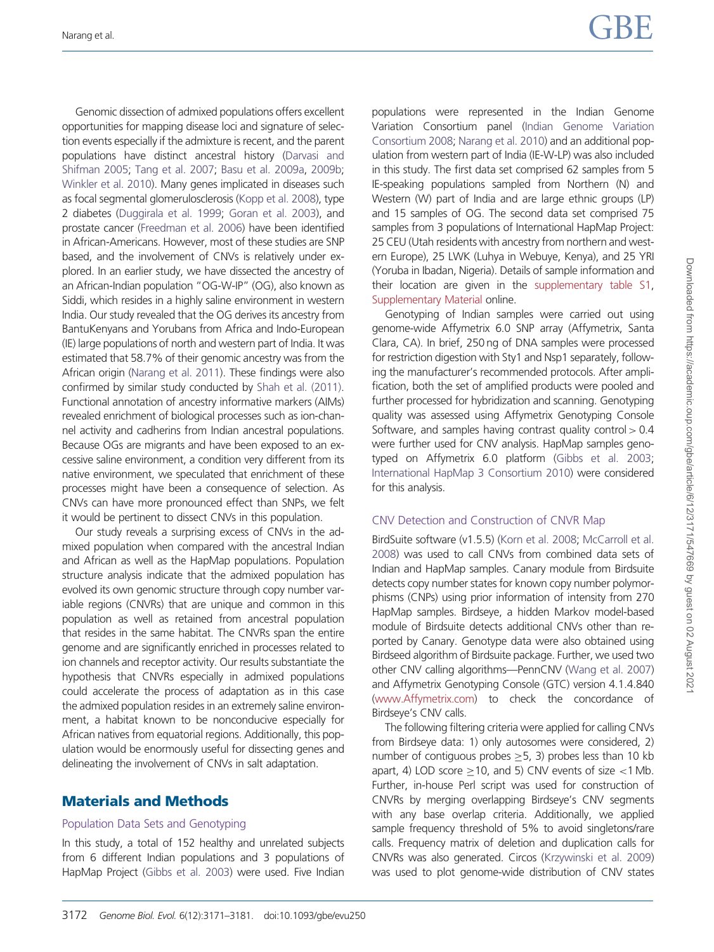Genomic dissection of admixed populations offers excellent opportunities for mapping disease loci and signature of selection events especially if the admixture is recent, and the parent populations have distinct ancestral history (Darvasi and Shifman 2005; Tang et al. 2007; Basu et al. 2009a, 2009b; Winkler et al. 2010). Many genes implicated in diseases such as focal segmental glomerulosclerosis (Kopp et al. 2008), type 2 diabetes (Duggirala et al. 1999; Goran et al. 2003), and prostate cancer (Freedman et al. 2006) have been identified in African-Americans. However, most of these studies are SNP based, and the involvement of CNVs is relatively under explored. In an earlier study, we have dissected the ancestry of an African-Indian population "OG-W-IP" (OG), also known as Siddi, which resides in a highly saline environment in western India. Our study revealed that the OG derives its ancestry from BantuKenyans and Yorubans from Africa and Indo-European (IE) large populations of north and western part of India. It was estimated that 58.7% of their genomic ancestry was from the African origin (Narang et al. 2011). These findings were also confirmed by similar study conducted by Shah et al. (2011). Functional annotation of ancestry informative markers (AIMs) revealed enrichment of biological processes such as ion-channel activity and cadherins from Indian ancestral populations. Because OGs are migrants and have been exposed to an excessive saline environment, a condition very different from its native environment, we speculated that enrichment of these processes might have been a consequence of selection. As CNVs can have more pronounced effect than SNPs, we felt it would be pertinent to dissect CNVs in this population.

Our study reveals a surprising excess of CNVs in the admixed population when compared with the ancestral Indian and African as well as the HapMap populations. Population structure analysis indicate that the admixed population has evolved its own genomic structure through copy number variable regions (CNVRs) that are unique and common in this population as well as retained from ancestral population that resides in the same habitat. The CNVRs span the entire genome and are significantly enriched in processes related to ion channels and receptor activity. Our results substantiate the hypothesis that CNVRs especially in admixed populations could accelerate the process of adaptation as in this case the admixed population resides in an extremely saline environment, a habitat known to be nonconducive especially for African natives from equatorial regions. Additionally, this population would be enormously useful for dissecting genes and delineating the involvement of CNVs in salt adaptation.

## Materials and Methods

#### Population Data Sets and Genotyping

In this study, a total of 152 healthy and unrelated subjects from 6 different Indian populations and 3 populations of HapMap Project (Gibbs et al. 2003) were used. Five Indian populations were represented in the Indian Genome Variation Consortium panel (Indian Genome Variation Consortium 2008; Narang et al. 2010) and an additional population from western part of India (IE-W-LP) was also included in this study. The first data set comprised 62 samples from 5 IE-speaking populations sampled from Northern (N) and Western (W) part of India and are large ethnic groups (LP) and 15 samples of OG. The second data set comprised 75 samples from 3 populations of International HapMap Project: 25 CEU (Utah residents with ancestry from northern and western Europe), 25 LWK (Luhya in Webuye, Kenya), and 25 YRI (Yoruba in Ibadan, Nigeria). Details of sample information and their location are given in the supplementary table S1, Supplementary Material online.

Genotyping of Indian samples were carried out using genome-wide Affymetrix 6.0 SNP array (Affymetrix, Santa Clara, CA). In brief, 250 ng of DNA samples were processed for restriction digestion with Sty1 and Nsp1 separately, following the manufacturer's recommended protocols. After amplification, both the set of amplified products were pooled and further processed for hybridization and scanning. Genotyping quality was assessed using Affymetrix Genotyping Console Software, and samples having contrast quality control  $> 0.4$ were further used for CNV analysis. HapMap samples genotyped on Affymetrix 6.0 platform (Gibbs et al. 2003; International HapMap 3 Consortium 2010) were considered for this analysis.

### CNV Detection and Construction of CNVR Map

BirdSuite software (v1.5.5) (Korn et al. 2008; McCarroll et al. 2008) was used to call CNVs from combined data sets of Indian and HapMap samples. Canary module from Birdsuite detects copy number states for known copy number polymorphisms (CNPs) using prior information of intensity from 270 HapMap samples. Birdseye, a hidden Markov model-based module of Birdsuite detects additional CNVs other than reported by Canary. Genotype data were also obtained using Birdseed algorithm of Birdsuite package. Further, we used two other CNV calling algorithms—PennCNV (Wang et al. 2007) and Affymetrix Genotyping Console (GTC) version 4.1.4.840 (www.Affymetrix.com) to check the concordance of Birdseye's CNV calls.

The following filtering criteria were applied for calling CNVs from Birdseye data: 1) only autosomes were considered, 2) number of contiguous probes  $\geq$  5, 3) probes less than 10 kb apart, 4) LOD score  $\geq$  10, and 5) CNV events of size <1 Mb. Further, in-house Perl script was used for construction of CNVRs by merging overlapping Birdseye's CNV segments with any base overlap criteria. Additionally, we applied sample frequency threshold of 5% to avoid singletons/rare calls. Frequency matrix of deletion and duplication calls for CNVRs was also generated. Circos (Krzywinski et al. 2009) was used to plot genome-wide distribution of CNV states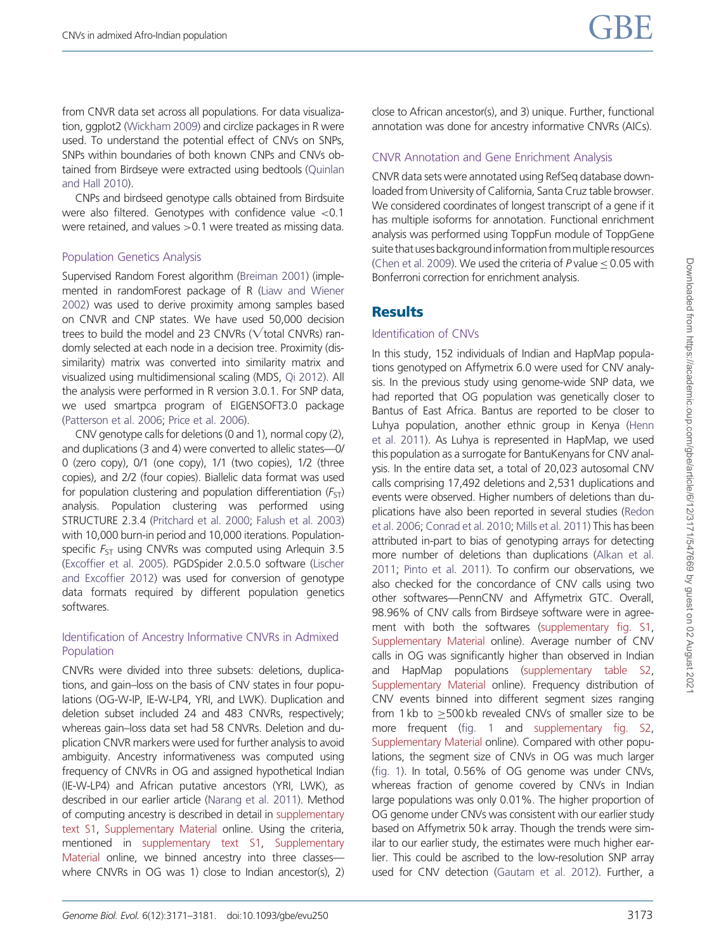from CNVR data set across all populations. For data visualization, ggplot2 (Wickham 2009) and circlize packages in R were used. To understand the potential effect of CNVs on SNPs, SNPs within boundaries of both known CNPs and CNVs obtained from Birdseye were extracted using bedtools (Quinlan and Hall 2010).

CNPs and birdseed genotype calls obtained from Birdsuite were also filtered. Genotypes with confidence value <0.1 were retained, and values  $>0.1$  were treated as missing data.

#### Population Genetics Analysis

Supervised Random Forest algorithm (Breiman 2001) (implemented in randomForest package of R (Liaw and Wiener 2002) was used to derive proximity among samples based on CNVR and CNP states. We have used 50,000 decision trees to build the model and 23 CNVRs ( $\sqrt{\ }$ total CNVRs) randomly selected at each node in a decision tree. Proximity (dissimilarity) matrix was converted into similarity matrix and visualized using multidimensional scaling (MDS, Qi 2012). All the analysis were performed in R version 3.0.1. For SNP data, we used smartpca program of EIGENSOFT3.0 package (Patterson et al. 2006; Price et al. 2006).

CNV genotype calls for deletions (0 and 1), normal copy (2), and duplications (3 and 4) were converted to allelic states—0/ 0 (zero copy), 0/1 (one copy), 1/1 (two copies), 1/2 (three copies), and 2/2 (four copies). Biallelic data format was used for population clustering and population differentiation  $(F_{ST})$ analysis. Population clustering was performed using STRUCTURE 2.3.4 (Pritchard et al. 2000; Falush et al. 2003) with 10,000 burn-in period and 10,000 iterations. Populationspecific  $F_{ST}$  using CNVRs was computed using Arlequin 3.5 (Excoffier et al. 2005). PGDSpider 2.0.5.0 software (Lischer and Excoffier 2012) was used for conversion of genotype data formats required by different population genetics softwares.

### Identification of Ancestry Informative CNVRs in Admixed Population

CNVRs were divided into three subsets: deletions, duplications, and gain–loss on the basis of CNV states in four populations (OG-W-IP, IE-W-LP4, YRI, and LWK). Duplication and deletion subset included 24 and 483 CNVRs, respectively; whereas gain–loss data set had 58 CNVRs. Deletion and duplication CNVR markers were used for further analysis to avoid ambiguity. Ancestry informativeness was computed using frequency of CNVRs in OG and assigned hypothetical Indian (IE-W-LP4) and African putative ancestors (YRI, LWK), as described in our earlier article (Narang et al. 2011). Method of computing ancestry is described in detail in supplementary text S1, Supplementary Material online. Using the criteria, mentioned in supplementary text S1, Supplementary Material online, we binned ancestry into three classes where CNVRs in OG was 1) close to Indian ancestor(s), 2)

close to African ancestor(s), and 3) unique. Further, functional annotation was done for ancestry informative CNVRs (AICs).

## CNVR Annotation and Gene Enrichment Analysis

CNVR data sets were annotated using RefSeq database downloaded from University of California, Santa Cruz table browser. We considered coordinates of longest transcript of a gene if it has multiple isoforms for annotation. Functional enrichment analysis was performed using ToppFun module of ToppGene suite that uses background information frommultiple resources (Chen et al. 2009). We used the criteria of  $P$  value  $<$  0.05 with Bonferroni correction for enrichment analysis.

## **Results**

### Identification of CNVs

In this study, 152 individuals of Indian and HapMap populations genotyped on Affymetrix 6.0 were used for CNV analysis. In the previous study using genome-wide SNP data, we had reported that OG population was genetically closer to Bantus of East Africa. Bantus are reported to be closer to Luhya population, another ethnic group in Kenya (Henn et al. 2011). As Luhya is represented in HapMap, we used this population as a surrogate for BantuKenyans for CNV analysis. In the entire data set, a total of 20,023 autosomal CNV calls comprising 17,492 deletions and 2,531 duplications and events were observed. Higher numbers of deletions than duplications have also been reported in several studies (Redon et al. 2006; Conrad et al. 2010; Mills et al. 2011) This has been attributed in-part to bias of genotyping arrays for detecting more number of deletions than duplications (Alkan et al. 2011; Pinto et al. 2011). To confirm our observations, we also checked for the concordance of CNV calls using two other softwares—PennCNV and Affymetrix GTC. Overall, 98.96% of CNV calls from Birdseye software were in agreement with both the softwares (supplementary fig. S1, Supplementary Material online). Average number of CNV calls in OG was significantly higher than observed in Indian and HapMap populations (supplementary table S2, Supplementary Material online). Frequency distribution of CNV events binned into different segment sizes ranging from 1 kb to  $\geq$  500 kb revealed CNVs of smaller size to be more frequent (fig. 1 and supplementary fig. S2, Supplementary Material online). Compared with other populations, the segment size of CNVs in OG was much larger (fig. 1). In total, 0.56% of OG genome was under CNVs, whereas fraction of genome covered by CNVs in Indian large populations was only 0.01%. The higher proportion of OG genome under CNVs was consistent with our earlier study based on Affymetrix 50 k array. Though the trends were similar to our earlier study, the estimates were much higher earlier. This could be ascribed to the low-resolution SNP array used for CNV detection (Gautam et al. 2012). Further, a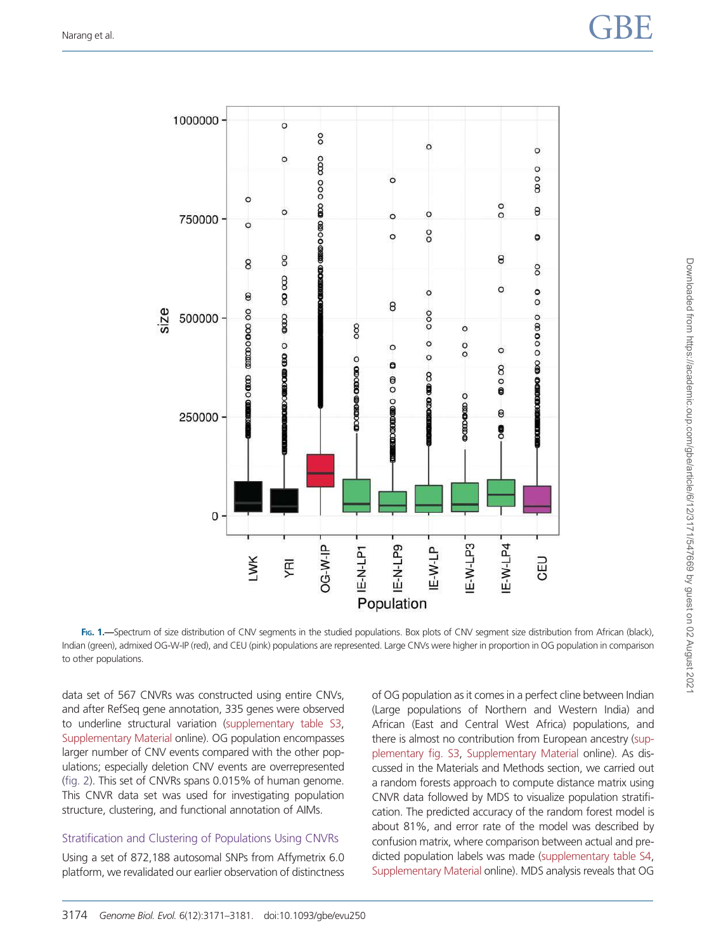

FIG. 1.—Spectrum of size distribution of CNV segments in the studied populations. Box plots of CNV segment size distribution from African (black), Indian (green), admixed OG-W-IP (red), and CEU (pink) populations are represented. Large CNVs were higher in proportion in OG population in comparison to other populations.

data set of 567 CNVRs was constructed using entire CNVs, and after RefSeq gene annotation, 335 genes were observed to underline structural variation (supplementary table S3, Supplementary Material online). OG population encompasses larger number of CNV events compared with the other populations; especially deletion CNV events are overrepresented (fig. 2). This set of CNVRs spans 0.015% of human genome. This CNVR data set was used for investigating population structure, clustering, and functional annotation of AIMs.

## Stratification and Clustering of Populations Using CNVRs

Using a set of 872,188 autosomal SNPs from Affymetrix 6.0 platform, we revalidated our earlier observation of distinctness of OG population as it comes in a perfect cline between Indian (Large populations of Northern and Western India) and African (East and Central West Africa) populations, and there is almost no contribution from European ancestry (supplementary fig. S3, Supplementary Material online). As discussed in the Materials and Methods section, we carried out a random forests approach to compute distance matrix using CNVR data followed by MDS to visualize population stratification. The predicted accuracy of the random forest model is about 81%, and error rate of the model was described by confusion matrix, where comparison between actual and predicted population labels was made (supplementary table S4, Supplementary Material online). MDS analysis reveals that OG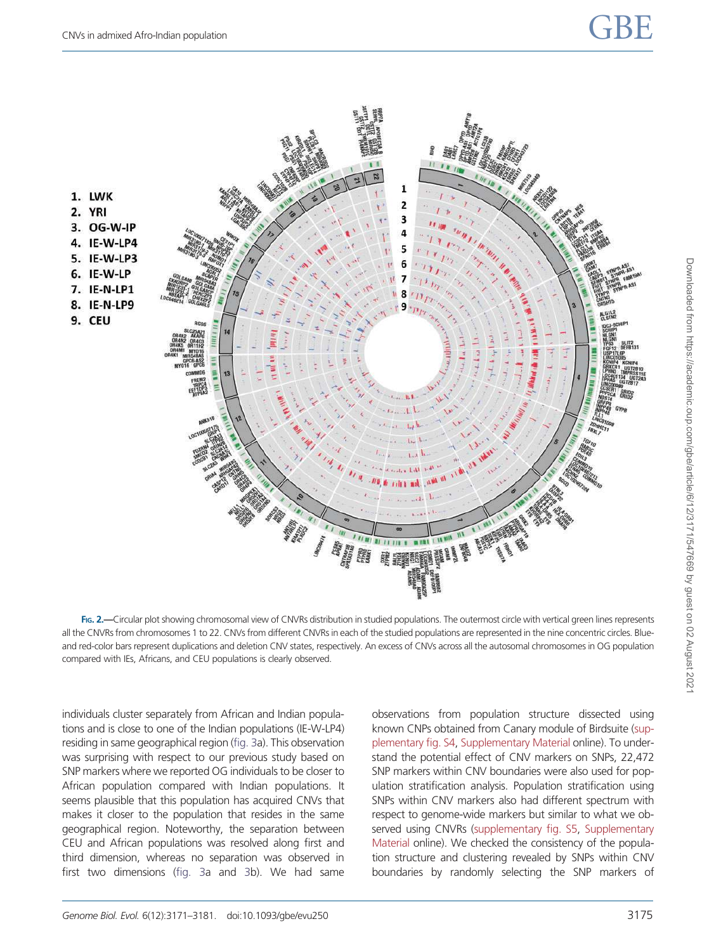

FIG. 2.—Circular plot showing chromosomal view of CNVRs distribution in studied populations. The outermost circle with vertical green lines represents all the CNVRs from chromosomes 1 to 22. CNVs from different CNVRs in each of the studied populations are represented in the nine concentric circles. Blueand red-color bars represent duplications and deletion CNV states, respectively. An excess of CNVs across all the autosomal chromosomes in OG population compared with IEs, Africans, and CEU populations is clearly observed.

individuals cluster separately from African and Indian populations and is close to one of the Indian populations (IE-W-LP4) residing in same geographical region (fig. 3a). This observation was surprising with respect to our previous study based on SNP markers where we reported OG individuals to be closer to African population compared with Indian populations. It seems plausible that this population has acquired CNVs that makes it closer to the population that resides in the same geographical region. Noteworthy, the separation between CEU and African populations was resolved along first and third dimension, whereas no separation was observed in first two dimensions (fig. 3a and 3b). We had same observations from population structure dissected using known CNPs obtained from Canary module of Birdsuite (supplementary fig. S4, Supplementary Material online). To understand the potential effect of CNV markers on SNPs, 22,472 SNP markers within CNV boundaries were also used for population stratification analysis. Population stratification using SNPs within CNV markers also had different spectrum with respect to genome-wide markers but similar to what we observed using CNVRs (supplementary fig. S5, Supplementary Material online). We checked the consistency of the population structure and clustering revealed by SNPs within CNV boundaries by randomly selecting the SNP markers of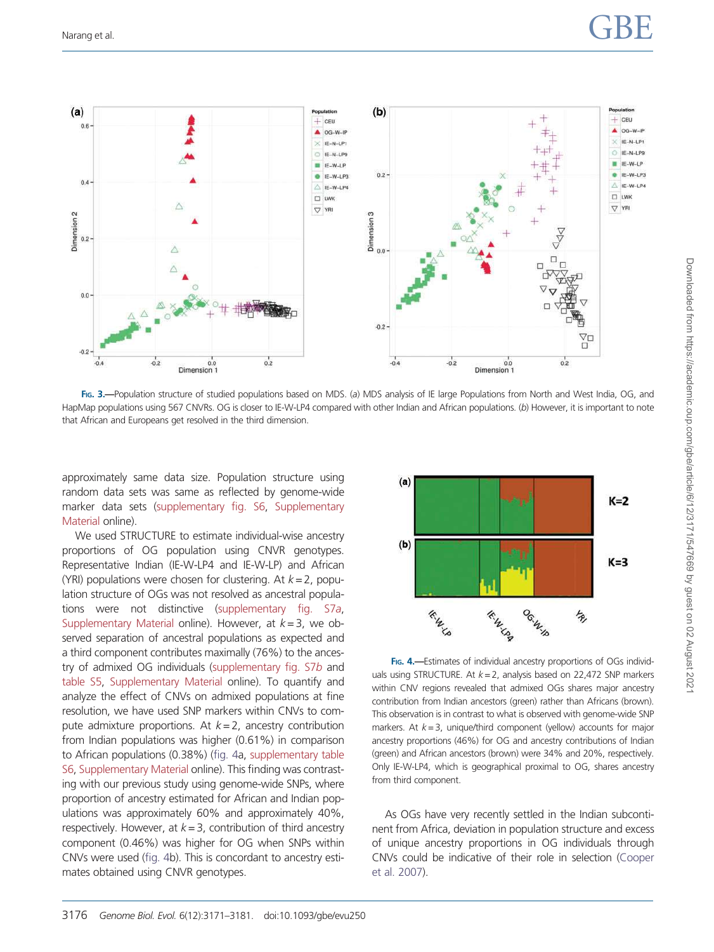

FIG. 3.—Population structure of studied populations based on MDS. (a) MDS analysis of IE large Populations from North and West India, OG, and HapMap populations using 567 CNVRs. OG is closer to IE-W-LP4 compared with other Indian and African populations. (b) However, it is important to note that African and Europeans get resolved in the third dimension.

approximately same data size. Population structure using random data sets was same as reflected by genome-wide marker data sets (supplementary fig. S6, Supplementary Material online).

We used STRUCTURE to estimate individual-wise ancestry proportions of OG population using CNVR genotypes. Representative Indian (IE-W-LP4 and IE-W-LP) and African (YRI) populations were chosen for clustering. At  $k = 2$ , population structure of OGs was not resolved as ancestral populations were not distinctive (supplementary fig. S7a, Supplementary Material online). However, at  $k = 3$ , we observed separation of ancestral populations as expected and a third component contributes maximally (76%) to the ancestry of admixed OG individuals (supplementary fig. S7b and table S5, Supplementary Material online). To quantify and analyze the effect of CNVs on admixed populations at fine resolution, we have used SNP markers within CNVs to compute admixture proportions. At  $k = 2$ , ancestry contribution from Indian populations was higher (0.61%) in comparison to African populations (0.38%) (fig. 4a, supplementary table S6, Supplementary Material online). This finding was contrasting with our previous study using genome-wide SNPs, where proportion of ancestry estimated for African and Indian populations was approximately 60% and approximately 40%, respectively. However, at  $k = 3$ , contribution of third ancestry component (0.46%) was higher for OG when SNPs within CNVs were used (fig. 4b). This is concordant to ancestry estimates obtained using CNVR genotypes.



FIG. 4.-Estimates of individual ancestry proportions of OGs individuals using STRUCTURE. At  $k = 2$ , analysis based on 22,472 SNP markers within CNV regions revealed that admixed OGs shares major ancestry contribution from Indian ancestors (green) rather than Africans (brown). This observation is in contrast to what is observed with genome-wide SNP markers. At  $k = 3$ , unique/third component (yellow) accounts for major ancestry proportions (46%) for OG and ancestry contributions of Indian (green) and African ancestors (brown) were 34% and 20%, respectively. Only IE-W-LP4, which is geographical proximal to OG, shares ancestry from third component.

As OGs have very recently settled in the Indian subcontinent from Africa, deviation in population structure and excess of unique ancestry proportions in OG individuals through CNVs could be indicative of their role in selection (Cooper et al. 2007).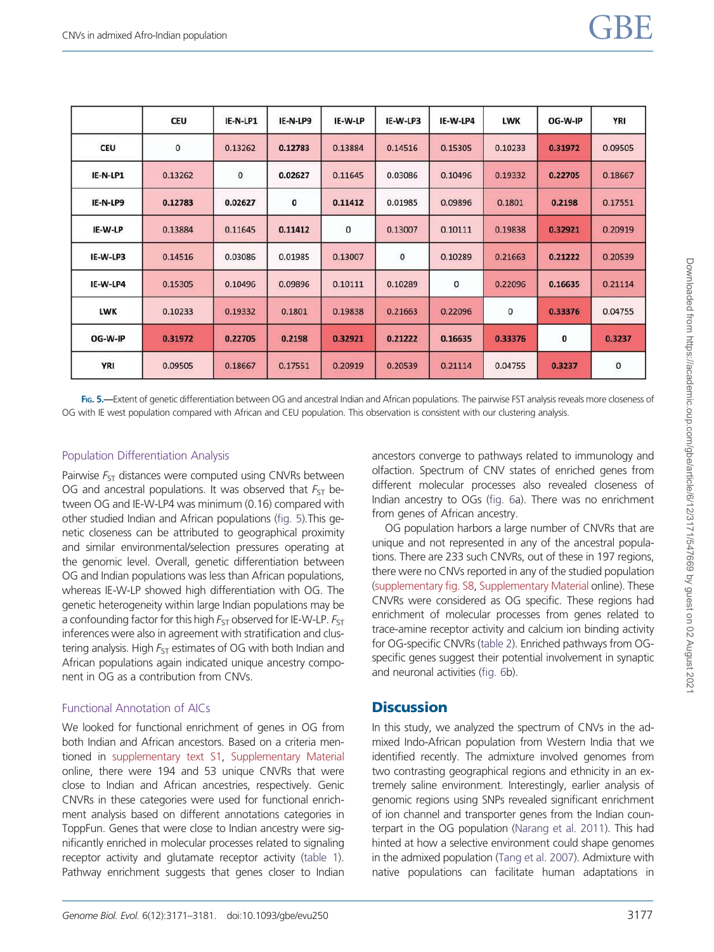|            | <b>CEU</b>  | IE-N-LP1  | IE-N-LP9    | IE-W-LP  | IE-W-LP3    | IE-W-LP4 | <b>LWK</b> | OG-W-IP | <b>YRI</b>     |
|------------|-------------|-----------|-------------|----------|-------------|----------|------------|---------|----------------|
| <b>CEU</b> | $\mathbf 0$ | 0.13262   | 0.12783     | 0.13884  | 0.14516     | 0.15305  | 0.10233    | 0.31972 | 0.09505        |
| IE-N-LP1   | 0.13262     | $\pmb{0}$ | 0.02627     | 0.11645  | 0.03086     | 0.10496  | 0.19332    | 0.22705 | 0.18667        |
| IE-N-LP9   | 0.12783     | 0.02627   | $\mathbf 0$ | 0.11412  | 0.01985     | 0.09896  | 0.1801     | 0.2198  | 0.17551        |
| IE-W-LP    | 0.13884     | 0.11645   | 0.11412     | $\Omega$ | 0.13007     | 0.10111  | 0.19838    | 0.32921 | 0.20919        |
| IE-W-LP3   | 0.14516     | 0.03086   | 0.01985     | 0.13007  | $\mathbf 0$ | 0.10289  | 0.21663    | 0.21222 | 0.20539        |
| IE-W-LP4   | 0.15305     | 0.10496   | 0.09896     | 0.10111  | 0.10289     | 0        | 0.22096    | 0.16635 | 0.21114        |
| <b>LWK</b> | 0.10233     | 0.19332   | 0.1801      | 0.19838  | 0.21663     | 0.22096  | 0          | 0.33376 | 0.04755        |
| OG-W-IP    | 0.31972     | 0.22705   | 0.2198      | 0.32921  | 0.21222     | 0.16635  | 0.33376    | 0       | 0.3237         |
| YRI        | 0.09505     | 0.18667   | 0.17551     | 0.20919  | 0.20539     | 0.21114  | 0.04755    | 0.3237  | $\overline{0}$ |

FIG. 5.—Extent of genetic differentiation between OG and ancestral Indian and African populations. The pairwise FST analysis reveals more closeness of OG with IE west population compared with African and CEU population. This observation is consistent with our clustering analysis.

#### Population Differentiation Analysis

Pairwise  $F_{ST}$  distances were computed using CNVRs between OG and ancestral populations. It was observed that  $F_{ST}$  between OG and IE-W-LP4 was minimum (0.16) compared with other studied Indian and African populations (fig. 5).This genetic closeness can be attributed to geographical proximity and similar environmental/selection pressures operating at the genomic level. Overall, genetic differentiation between OG and Indian populations was less than African populations, whereas IE-W-LP showed high differentiation with OG. The genetic heterogeneity within large Indian populations may be a confounding factor for this high  $F_{ST}$  observed for IE-W-LP.  $F_{ST}$ inferences were also in agreement with stratification and clustering analysis. High  $F_{ST}$  estimates of OG with both Indian and African populations again indicated unique ancestry component in OG as a contribution from CNVs.

#### Functional Annotation of AICs

We looked for functional enrichment of genes in OG from both Indian and African ancestors. Based on a criteria mentioned in supplementary text S1, Supplementary Material online, there were 194 and 53 unique CNVRs that were close to Indian and African ancestries, respectively. Genic CNVRs in these categories were used for functional enrichment analysis based on different annotations categories in ToppFun. Genes that were close to Indian ancestry were significantly enriched in molecular processes related to signaling receptor activity and glutamate receptor activity (table 1). Pathway enrichment suggests that genes closer to Indian ancestors converge to pathways related to immunology and olfaction. Spectrum of CNV states of enriched genes from different molecular processes also revealed closeness of Indian ancestry to OGs (fig. 6a). There was no enrichment from genes of African ancestry.

OG population harbors a large number of CNVRs that are unique and not represented in any of the ancestral populations. There are 233 such CNVRs, out of these in 197 regions, there were no CNVs reported in any of the studied population (supplementary fig. S8, Supplementary Material online). These CNVRs were considered as OG specific. These regions had enrichment of molecular processes from genes related to trace-amine receptor activity and calcium ion binding activity for OG-specific CNVRs (table 2). Enriched pathways from OGspecific genes suggest their potential involvement in synaptic and neuronal activities (fig. 6b).

## **Discussion**

In this study, we analyzed the spectrum of CNVs in the admixed Indo-African population from Western India that we identified recently. The admixture involved genomes from two contrasting geographical regions and ethnicity in an extremely saline environment. Interestingly, earlier analysis of genomic regions using SNPs revealed significant enrichment of ion channel and transporter genes from the Indian counterpart in the OG population (Narang et al. 2011). This had hinted at how a selective environment could shape genomes in the admixed population (Tang et al. 2007). Admixture with native populations can facilitate human adaptations in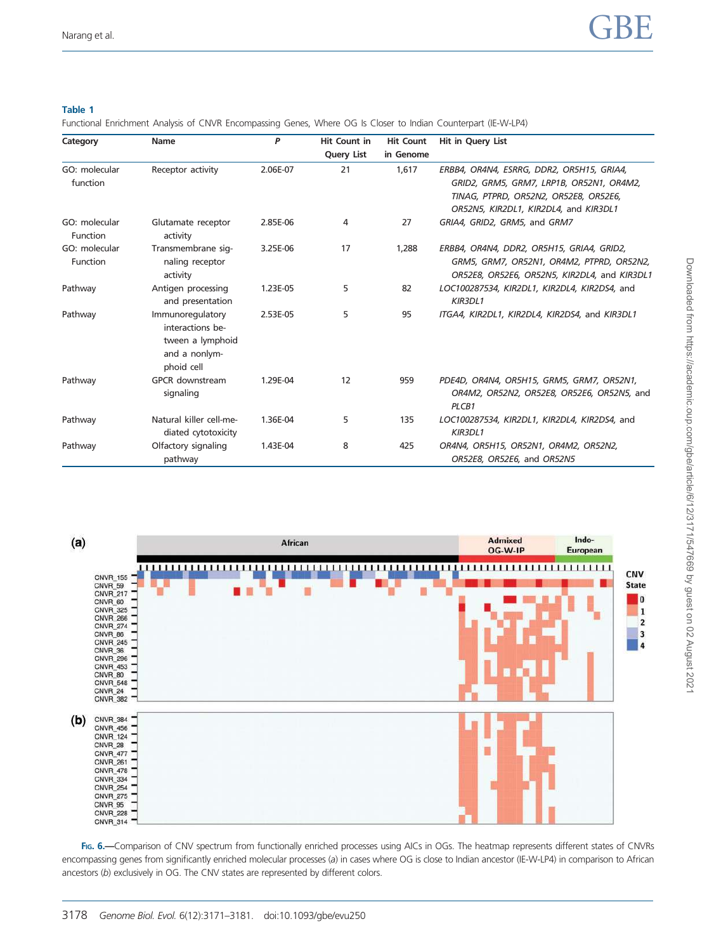#### Table 1

Functional Enrichment Analysis of CNVR Encompassing Genes, Where OG Is Closer to Indian Counterpart (IE-W-LP4)

| Category                  | <b>Name</b>                                                                             | P        | <b>Hit Count in</b> | <b>Hit Count</b> | Hit in Query List                                                                                                                                                       |
|---------------------------|-----------------------------------------------------------------------------------------|----------|---------------------|------------------|-------------------------------------------------------------------------------------------------------------------------------------------------------------------------|
|                           |                                                                                         |          | Query List          | in Genome        |                                                                                                                                                                         |
| GO: molecular<br>function | Receptor activity                                                                       | 2.06E-07 | 21                  | 1,617            | ERBB4, OR4N4, ESRRG, DDR2, OR5H15, GRIA4,<br>GRID2, GRM5, GRM7, LRP1B, OR52N1, OR4M2,<br>TINAG, PTPRD, OR52N2, OR52E8, OR52E6,<br>OR52N5, KIR2DL1, KIR2DL4, and KIR3DL1 |
| GO: molecular<br>Function | Glutamate receptor<br>activity                                                          | 2.85E-06 | 4                   | 27               | GRIA4, GRID2, GRM5, and GRM7                                                                                                                                            |
| GO: molecular<br>Function | Transmembrane sig-<br>naling receptor<br>activity                                       | 3.25E-06 | 17                  | 1,288            | ERBB4, OR4N4, DDR2, OR5H15, GRIA4, GRID2,<br>GRM5, GRM7, OR52N1, OR4M2, PTPRD, OR52N2,<br>OR52E8, OR52E6, OR52N5, KIR2DL4, and KIR3DL1                                  |
| Pathway                   | Antigen processing<br>and presentation                                                  | 1.23E-05 | 5                   | 82               | LOC100287534, KIR2DL1, KIR2DL4, KIR2DS4, and<br>KIR3DL1                                                                                                                 |
| Pathway                   | Immunoregulatory<br>interactions be-<br>tween a lymphoid<br>and a nonlym-<br>phoid cell | 2.53E-05 | 5                   | 95               | ITGA4, KIR2DL1, KIR2DL4, KIR2DS4, and KIR3DL1                                                                                                                           |
| Pathway                   | GPCR downstream<br>signaling                                                            | 1.29E-04 | 12                  | 959              | PDE4D, OR4N4, OR5H15, GRM5, GRM7, OR52N1,<br>OR4M2, OR52N2, OR52E8, OR52E6, OR52N5, and<br>PLCB1                                                                        |
| Pathway                   | Natural killer cell-me-<br>diated cytotoxicity                                          | 1.36E-04 | 5                   | 135              | LOC100287534, KIR2DL1, KIR2DL4, KIR2DS4, and<br>KIR3DL1                                                                                                                 |
| Pathway                   | Olfactory signaling<br>pathway                                                          | 1.43E-04 | 8                   | 425              | OR4N4, OR5H15, OR52N1, OR4M2, OR52N2,<br>OR52E8, OR52E6, and OR52N5                                                                                                     |



FIG. 6. Comparison of CNV spectrum from functionally enriched processes using AICs in OGs. The heatmap represents different states of CNVRs encompassing genes from significantly enriched molecular processes (a) in cases where OG is close to Indian ancestor (IE-W-LP4) in comparison to African ancestors (b) exclusively in OG. The CNV states are represented by different colors.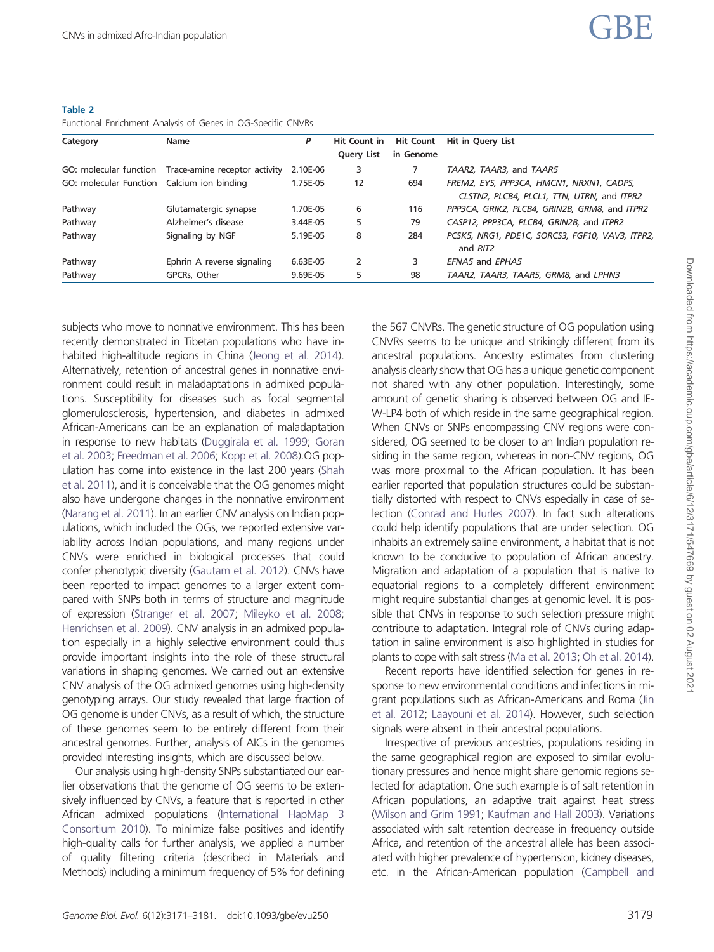|  | $\sim$ |  |
|--|--------|--|
|  |        |  |

Functional Enrichment Analysis of Genes in OG-Specific CNVRs

| Category                                   | <b>Name</b>                                          | P        | Hit Count in | Hit Count | <b>Hit in Query List</b>                                                               |
|--------------------------------------------|------------------------------------------------------|----------|--------------|-----------|----------------------------------------------------------------------------------------|
|                                            |                                                      |          | Query List   | in Genome |                                                                                        |
|                                            | GO: molecular function Trace-amine receptor activity | 2.10E-06 | 3            |           | TAAR2, TAAR3, and TAAR5                                                                |
| GO: molecular Function Calcium ion binding |                                                      | 1.75E-05 | 12           | 694       | FREM2, EYS, PPP3CA, HMCN1, NRXN1, CADPS,<br>CLSTN2, PLCB4, PLCL1, TTN, UTRN, and ITPR2 |
| Pathway                                    | Glutamatergic synapse                                | 1.70F-05 | 6            | 116       | PPP3CA, GRIK2, PLCB4, GRIN2B, GRM8, and ITPR2                                          |
| Pathway                                    | Alzheimer's disease                                  | 3.44E-05 | 5            | 79        | CASP12, PPP3CA, PLCB4, GRIN2B, and ITPR2                                               |
| Pathway                                    | Signaling by NGF                                     | 5.19E-05 | 8            | 284       | PCSK5, NRG1, PDE1C, SORCS3, FGF10, VAV3, ITPR2,<br>and RIT2                            |
| Pathway                                    | Ephrin A reverse signaling                           | 6.63E-05 |              | 3         | EFNA5 and EPHA5                                                                        |
| Pathway                                    | GPCRs, Other                                         | 9.69E-05 | 5            | 98        | TAAR2, TAAR3, TAAR5, GRM8, and LPHN3                                                   |

subjects who move to nonnative environment. This has been recently demonstrated in Tibetan populations who have inhabited high-altitude regions in China (Jeong et al. 2014). Alternatively, retention of ancestral genes in nonnative environment could result in maladaptations in admixed populations. Susceptibility for diseases such as focal segmental glomerulosclerosis, hypertension, and diabetes in admixed African-Americans can be an explanation of maladaptation in response to new habitats (Duggirala et al. 1999; Goran et al. 2003; Freedman et al. 2006; Kopp et al. 2008).OG population has come into existence in the last 200 years (Shah et al. 2011), and it is conceivable that the OG genomes might also have undergone changes in the nonnative environment (Narang et al. 2011). In an earlier CNV analysis on Indian populations, which included the OGs, we reported extensive variability across Indian populations, and many regions under CNVs were enriched in biological processes that could confer phenotypic diversity (Gautam et al. 2012). CNVs have been reported to impact genomes to a larger extent compared with SNPs both in terms of structure and magnitude of expression (Stranger et al. 2007; Mileyko et al. 2008; Henrichsen et al. 2009). CNV analysis in an admixed population especially in a highly selective environment could thus provide important insights into the role of these structural variations in shaping genomes. We carried out an extensive CNV analysis of the OG admixed genomes using high-density genotyping arrays. Our study revealed that large fraction of OG genome is under CNVs, as a result of which, the structure of these genomes seem to be entirely different from their ancestral genomes. Further, analysis of AICs in the genomes provided interesting insights, which are discussed below.

Our analysis using high-density SNPs substantiated our earlier observations that the genome of OG seems to be extensively influenced by CNVs, a feature that is reported in other African admixed populations (International HapMap 3 Consortium 2010). To minimize false positives and identify high-quality calls for further analysis, we applied a number of quality filtering criteria (described in Materials and Methods) including a minimum frequency of 5% for defining the 567 CNVRs. The genetic structure of OG population using CNVRs seems to be unique and strikingly different from its ancestral populations. Ancestry estimates from clustering analysis clearly show that OG has a unique genetic component not shared with any other population. Interestingly, some amount of genetic sharing is observed between OG and IE-W-LP4 both of which reside in the same geographical region. When CNVs or SNPs encompassing CNV regions were considered, OG seemed to be closer to an Indian population residing in the same region, whereas in non-CNV regions, OG was more proximal to the African population. It has been earlier reported that population structures could be substantially distorted with respect to CNVs especially in case of selection (Conrad and Hurles 2007). In fact such alterations could help identify populations that are under selection. OG inhabits an extremely saline environment, a habitat that is not known to be conducive to population of African ancestry. Migration and adaptation of a population that is native to equatorial regions to a completely different environment might require substantial changes at genomic level. It is possible that CNVs in response to such selection pressure might contribute to adaptation. Integral role of CNVs during adaptation in saline environment is also highlighted in studies for plants to cope with salt stress (Ma et al. 2013; Oh et al. 2014).

Recent reports have identified selection for genes in response to new environmental conditions and infections in migrant populations such as African-Americans and Roma (Jin et al. 2012; Laayouni et al. 2014). However, such selection signals were absent in their ancestral populations.

Irrespective of previous ancestries, populations residing in the same geographical region are exposed to similar evolutionary pressures and hence might share genomic regions selected for adaptation. One such example is of salt retention in African populations, an adaptive trait against heat stress (Wilson and Grim 1991; Kaufman and Hall 2003). Variations associated with salt retention decrease in frequency outside Africa, and retention of the ancestral allele has been associated with higher prevalence of hypertension, kidney diseases, etc. in the African-American population (Campbell and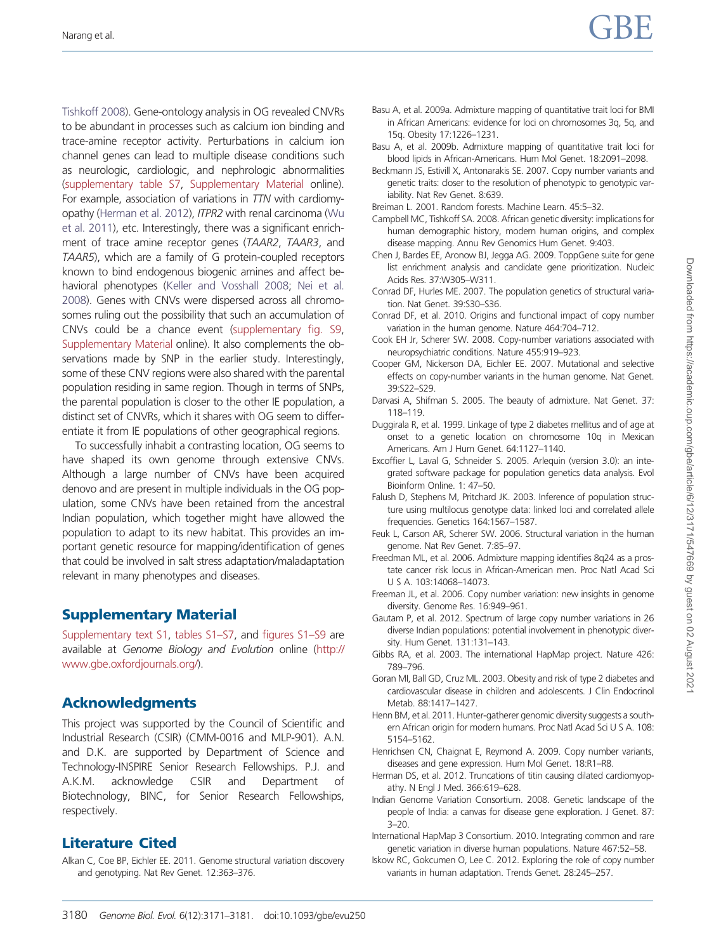Tishkoff 2008). Gene-ontology analysis in OG revealed CNVRs to be abundant in processes such as calcium ion binding and trace-amine receptor activity. Perturbations in calcium ion channel genes can lead to multiple disease conditions such as neurologic, cardiologic, and nephrologic abnormalities (supplementary table S7, Supplementary Material online). For example, association of variations in TTN with cardiomyopathy (Herman et al. 2012), ITPR2 with renal carcinoma (Wu et al. 2011), etc. Interestingly, there was a significant enrichment of trace amine receptor genes (TAAR2, TAAR3, and TAAR5), which are a family of G protein-coupled receptors known to bind endogenous biogenic amines and affect behavioral phenotypes (Keller and Vosshall 2008; Nei et al. 2008). Genes with CNVs were dispersed across all chromosomes ruling out the possibility that such an accumulation of CNVs could be a chance event (supplementary fig. S9, Supplementary Material online). It also complements the observations made by SNP in the earlier study. Interestingly, some of these CNV regions were also shared with the parental population residing in same region. Though in terms of SNPs, the parental population is closer to the other IE population, a distinct set of CNVRs, which it shares with OG seem to differentiate it from IE populations of other geographical regions.

To successfully inhabit a contrasting location, OG seems to have shaped its own genome through extensive CNVs. Although a large number of CNVs have been acquired denovo and are present in multiple individuals in the OG population, some CNVs have been retained from the ancestral Indian population, which together might have allowed the population to adapt to its new habitat. This provides an important genetic resource for mapping/identification of genes that could be involved in salt stress adaptation/maladaptation relevant in many phenotypes and diseases.

## Supplementary Material

Supplementary text S1, tables S1–S7, and figures S1–S9 are available at Genome Biology and Evolution online (http:// www.gbe.oxfordjournals.org/).

## Acknowledgments

This project was supported by the Council of Scientific and Industrial Research (CSIR) (CMM-0016 and MLP-901). A.N. and D.K. are supported by Department of Science and Technology-INSPIRE Senior Research Fellowships. P.J. and A.K.M. acknowledge CSIR and Department of Biotechnology, BINC, for Senior Research Fellowships, respectively.

## Literature Cited

Alkan C, Coe BP, Eichler EE. 2011. Genome structural variation discovery and genotyping. Nat Rev Genet. 12:363–376.

- Basu A, et al. 2009a. Admixture mapping of quantitative trait loci for BMI in African Americans: evidence for loci on chromosomes 3q, 5q, and 15q. Obesity 17:1226–1231.
- Basu A, et al. 2009b. Admixture mapping of quantitative trait loci for blood lipids in African-Americans. Hum Mol Genet. 18:2091–2098.
- Beckmann JS, Estivill X, Antonarakis SE. 2007. Copy number variants and genetic traits: closer to the resolution of phenotypic to genotypic variability. Nat Rev Genet. 8:639.
- Breiman L. 2001. Random forests. Machine Learn. 45:5–32.
- Campbell MC, Tishkoff SA. 2008. African genetic diversity: implications for human demographic history, modern human origins, and complex disease mapping. Annu Rev Genomics Hum Genet. 9:403.
- Chen J, Bardes EE, Aronow BJ, Jegga AG. 2009. ToppGene suite for gene list enrichment analysis and candidate gene prioritization. Nucleic Acids Res. 37:W305–W311.
- Conrad DF, Hurles ME. 2007. The population genetics of structural variation. Nat Genet. 39:S30–S36.
- Conrad DF, et al. 2010. Origins and functional impact of copy number variation in the human genome. Nature 464:704–712.
- Cook EH Jr, Scherer SW. 2008. Copy-number variations associated with neuropsychiatric conditions. Nature 455:919–923.
- Cooper GM, Nickerson DA, Eichler EE. 2007. Mutational and selective effects on copy-number variants in the human genome. Nat Genet. 39:S22–S29.
- Darvasi A, Shifman S. 2005. The beauty of admixture. Nat Genet. 37: 118–119.
- Duggirala R, et al. 1999. Linkage of type 2 diabetes mellitus and of age at onset to a genetic location on chromosome 10q in Mexican Americans. Am J Hum Genet. 64:1127–1140.
- Excoffier L, Laval G, Schneider S. 2005. Arlequin (version 3.0): an integrated software package for population genetics data analysis. Evol Bioinform Online. 1: 47–50.
- Falush D, Stephens M, Pritchard JK. 2003. Inference of population structure using multilocus genotype data: linked loci and correlated allele frequencies. Genetics 164:1567–1587.
- Feuk L, Carson AR, Scherer SW. 2006. Structural variation in the human genome. Nat Rev Genet. 7:85–97.
- Freedman ML, et al. 2006. Admixture mapping identifies 8q24 as a prostate cancer risk locus in African-American men. Proc Natl Acad Sci U S A. 103:14068–14073.
- Freeman JL, et al. 2006. Copy number variation: new insights in genome diversity. Genome Res. 16:949–961.
- Gautam P, et al. 2012. Spectrum of large copy number variations in 26 diverse Indian populations: potential involvement in phenotypic diversity. Hum Genet. 131:131–143.
- Gibbs RA, et al. 2003. The international HapMap project. Nature 426: 789–796.
- Goran MI, Ball GD, Cruz ML. 2003. Obesity and risk of type 2 diabetes and cardiovascular disease in children and adolescents. J Clin Endocrinol Metab. 88:1417–1427.
- Henn BM, et al. 2011. Hunter-gatherer genomic diversity suggests a southern African origin for modern humans. Proc Natl Acad Sci U S A. 108: 5154–5162.
- Henrichsen CN, Chaignat E, Reymond A. 2009. Copy number variants, diseases and gene expression. Hum Mol Genet. 18:R1–R8.
- Herman DS, et al. 2012. Truncations of titin causing dilated cardiomyopathy. N Engl J Med. 366:619–628.
- Indian Genome Variation Consortium. 2008. Genetic landscape of the people of India: a canvas for disease gene exploration. J Genet. 87: 3–20.
- International HapMap 3 Consortium. 2010. Integrating common and rare genetic variation in diverse human populations. Nature 467:52–58.
- Iskow RC, Gokcumen O, Lee C. 2012. Exploring the role of copy number variants in human adaptation. Trends Genet. 28:245–257.